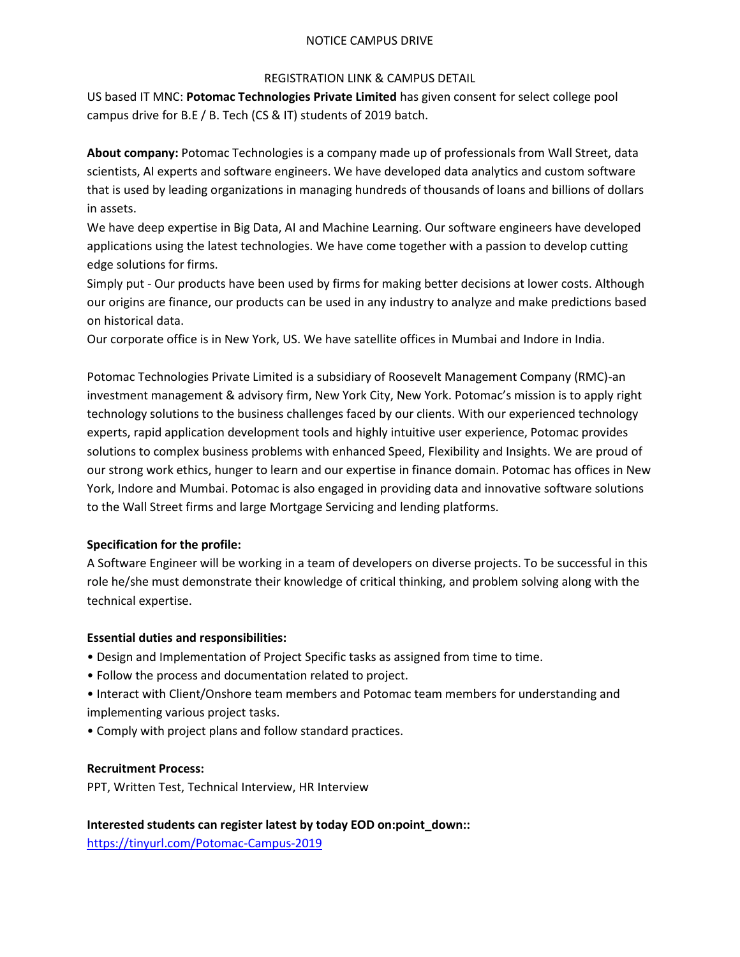## NOTICE CAMPUS DRIVE

## REGISTRATION LINK & CAMPUS DETAIL

US based IT MNC: **Potomac Technologies Private Limited** has given consent for select college pool campus drive for B.E / B. Tech (CS & IT) students of 2019 batch.

**About company:** Potomac Technologies is a company made up of professionals from Wall Street, data scientists, AI experts and software engineers. We have developed data analytics and custom software that is used by leading organizations in managing hundreds of thousands of loans and billions of dollars in assets.

We have deep expertise in Big Data, AI and Machine Learning. Our software engineers have developed applications using the latest technologies. We have come together with a passion to develop cutting edge solutions for firms.

Simply put - Our products have been used by firms for making better decisions at lower costs. Although our origins are finance, our products can be used in any industry to analyze and make predictions based on historical data.

Our corporate office is in New York, US. We have satellite offices in Mumbai and Indore in India.

Potomac Technologies Private Limited is a subsidiary of Roosevelt Management Company (RMC)-an investment management & advisory firm, New York City, New York. Potomac's mission is to apply right technology solutions to the business challenges faced by our clients. With our experienced technology experts, rapid application development tools and highly intuitive user experience, Potomac provides solutions to complex business problems with enhanced Speed, Flexibility and Insights. We are proud of our strong work ethics, hunger to learn and our expertise in finance domain. Potomac has offices in New York, Indore and Mumbai. Potomac is also engaged in providing data and innovative software solutions to the Wall Street firms and large Mortgage Servicing and lending platforms.

# **Specification for the profile:**

A Software Engineer will be working in a team of developers on diverse projects. To be successful in this role he/she must demonstrate their knowledge of critical thinking, and problem solving along with the technical expertise.

# **Essential duties and responsibilities:**

- Design and Implementation of Project Specific tasks as assigned from time to time.
- Follow the process and documentation related to project.
- Interact with Client/Onshore team members and Potomac team members for understanding and implementing various project tasks.
- Comply with project plans and follow standard practices.

## **Recruitment Process:**

PPT, Written Test, Technical Interview, HR Interview

# **Interested students can register latest by today EOD on:point\_down::**

<https://tinyurl.com/Potomac-Campus-2019>